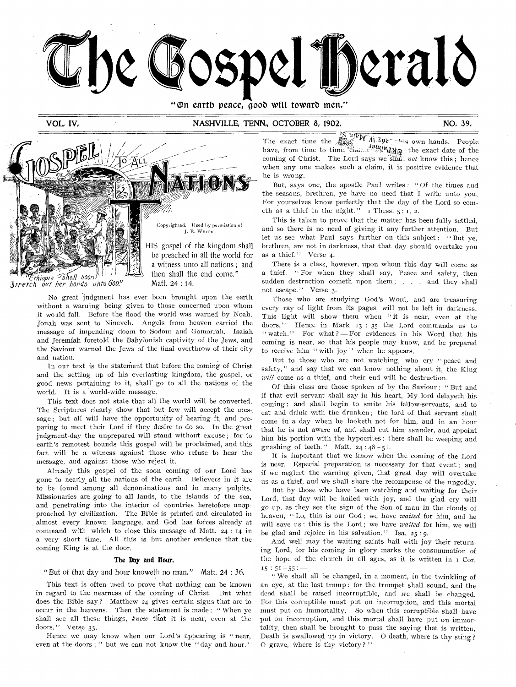

"On earth peace, good wilt toward men."

# VOL, IV, NASHVILLE, TENN, OCTOBER 8, 1902, NO, 39, NO, 39,



*liiopia* shall *soon : 3rretch ovt her hands unto 600."* 

> No great judgment has ever been brought upon the earth without a warning being given to those concerned upon whom it would fall. Before the flood the world was warned by Noah. Jonah was sent to Nineveh. Angels. from heaven carried the message of impending doom to Sodom and Gomorrah. Isaiah and Jeremiah foretold the Babylonish captivity of the Jews, and the Saviour warned the Jews of the final overthrow of their city and nation.

Matt. 24 : 14.

In our text is the statement that before the coming of Christ and the setting up of his everlasting kingdom, the gospel, or good news pertaining to it, shall' go to all the nations of the world. It is a world-wide message.

This text does not state that all the world will be converted. The Scriptures clearly show that but few will accept the mes-. sage ; but all will have the opportunity of hearing it, and preparing to meet their Lord if they desire to do so. In the great judgment-day the unprepared will stand without excuse ; for to earth's remotest bounds this gospel will be proclaimed, and this fact will be a witness against those who refuse to hear the message, and against those who reject it.

Already this gospel of the soon coming of our Lord has gone to nearly all the nations of the earth. Believers in it are to be found among all denominations and in .many pulpits. Missionaries are going to all lands, to the islands of the sea, and penetrating into the interior of countries heretofore unapproached by civilization. The Bible is printed and circulated in almost every known language, and God has forces already at command with which to close this message of Matt. 24 : 14 in a very short time. All this is but another evidence that the coming King is at the door.

### The Day and Hour.

"But of that day and hour knoweth no man." Matt. 24 : 36.

This text is often used to prove that nothing can be known in regard to the nearness of the coming of Christ. But what does the Bible say? Matthew 24 gives certain signs that are to occur in the heavens. Then the statement is made : " When ye shall see all these things, *know* that it is near, even at the .doors." Verse 33.

Hence we may know when our Lord's appearing is "near, even at the doors ; " but we can not know the "day and hour."

The exact time the **a**sset *W AL*  $\overline{V}$ <sub>29</sub> - 1, s own hands. People The exact time the  $\frac{g_{\text{SOC}}^{12}}{g_{\text{SOC}}^{12}}$  ( $\frac{1}{2}$ )  $\frac{1}{2}$  ( $\frac{1}{2}$ )  $\frac{1}{2}$  the exact date of the coming of Christ. The Lord says we shail not know this; hence when any one makes such a claim, it is positive evidence that he is wrong.

But, says one, the apostle Paul writes : " Of the times and the seasons, brethren, ye have no need that I write unto you, For yourselves know perfectly that the day of the Lord so cometh as a thief in the night."  $I$  Thess.  $5: I, 2$ .

This is taken to prove that the matter has been fully settled, and so there is no need of giving it any further attention. But let us see what Paul says further on this subject: "But ye, brethren, are not in darkness, that that day should overtake you as a thief." Verse 4.

There is a class, however, upon whom this day will come as a thief. " For when they shall say, Peace and safety, then sudden destruction cometh upon them ; . . . and they shall not escape." Verse 3.

Those who are studying God's Word, and are treasuring every ray of light from its pages, will not be left in darkness. This light will show them when "it is near, even at the doors." Hence in Mark 13 : 35 the Lord commands us to " watch." For what ? - For evidences in his Word that his coming is near, so that his people may know, and be prepared to receive him "with joy" when he appears.

But to those who are not watching, who cry " peace and safety," and say that we can know nothing about it, the King *will* come as a thief, and their end will be destruction.

Of this class are those spoken of by the Saviour: " But and if that evil servant shall say in his heart, My lord delayeth his coming ; and shall begin to smite his fellow-servants, and to eat and drink with the drunken ; the lord of that servant shall come in a day when he looketh not for him, and in an hour that he is not aware of, and shall cut him asunder, and appoint him his portion with the hypocrites : there shall be weeping and gnashing of teeth." Matt.  $24 : 48 - 51$ .

It is important that we know when the coming of the Lord is near. Especial preparation is necessary for that event ; and if we neglect the warning given, that great day will overtake us as a thief, and we shall share the recompense of the ungodly.

But by those who have been watching and waiting for their Lord, that day will be hailed with joy, and the glad cry will go up, as they see the sign of the Son of man in the clouds of heaven, " Lo, this is our God ; we have *waited* for him, and he will save us : this is the Lord ; we have *waited* for him, we will be glad and rejoice in his salvation." Isa. 25 : 9.

And well may the waiting saints hail with joy their returning Lord, for his coming in glory marks the consummation of the hope of the church in all ages, as it is written in 1 Cor.  $15:51-55:$ 

"We shall all be changed, in a moment, in the twinkling of an eye, at the last trump : for the trumpet shall sound, and the dead shall be raised incorruptible, and we shall be changed. For this corruptible must put on incorruption, and this mortal must put on immortality. So when this corruptible shall have put on incorruption, and this mortal shall have put on immortality, then shall be brought to pass the saying that is written, Death is swallowed up in victory. 0 death, where is thy sting ? 0 grave, Where is thy victory ? "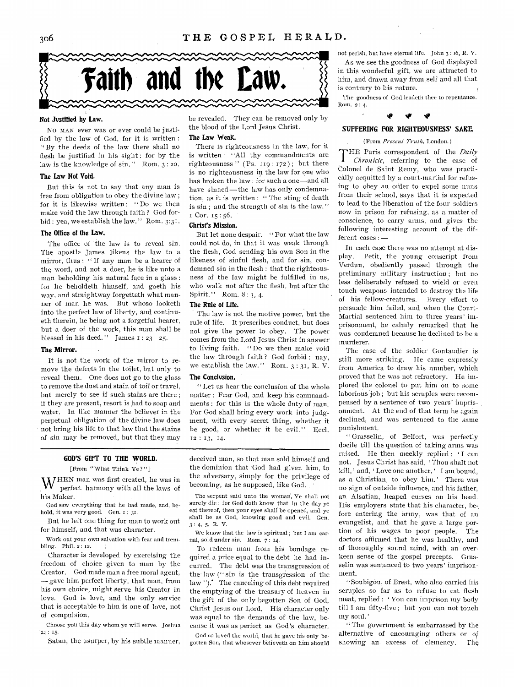

### **Not Justified by Law.**

No MAN ever was or ever could be justified by the law of God, for it is written : " By the deeds of the law there shall no flesh be justified in his sight : for by the law is the knowledge of  $sin."$  Rom.  $3:20.$ 

#### **The Law Not Void.**

But this is not to say that any man is free from obligation to obey the divine law ; for it is likewise written : " Do we then make void the law through faith ? God forbid : yea, we establish the law." Rom. 3:31.

### **The Office of the Law.**

The office of the law is to reveal sin. The apostle James likens the law to a mirror, thus : " If any man be a hearer of the word, and not a doer, he is like unto a man beholding his natural face in a glass : for he beholdeth himself, and goeth his way, and straightway forgetteth what manner of man he was. But whoso looketh into the perfect law of liberty, and continueth therein, he being not a forgetful hearer, but a doer of the work, this man shall be blessed in his deed." James  $1: 23 \quad 25$ .

#### **The Mirror.**

It is not the work of the mirror to remove the defects in the toilet, but only to reveal them. One does not go to the glass to remove the dust and stain of toil or travel, but merely to see if such stains are there ; if they are present, resort is had to soap and water. In like manner the believer in the perpetual obligation of the divine law does not bring his life to that law that the stains of sin may be removed, but that they may

**GOD'S GIFT TO THE WORLD.** 

#### [Prom " What Think Ye ? " ]

WHEN man was first created, he was in perfect harmony with all the laws of his Maker.

God saw everything that he had made, and, behold, it was very good. Gen. 1 : 31.

But he left one thing for man to work out for himself, and that was character,

Work out your own salvation with fear and trembling. Phil. 2 : 12.

Character is developed by exercising the freedom of choice given to man by the Creator. God made man a free moral agent, — gave him perfect liberty, that nian, from his own choice, might serve his Creator in love. God is love, and the only service that is acceptable to him is one of love, not of compulsion.

Choose you this day whom ye will serve. Joshua 24: 15

Satan, the usurper, by his subtle manner,

be revealed. They can be removed only by the blood of the Lord Jesus Christ.

#### **The Law WeaK.**

There is righteousness in the law, for it is written : "All thy commandments are righteousness " ( Ps. 119 : 172) ; but there is no righteousness in the law for one who has broken the law: for such a one—and all have sinned — the law has only condemnation, as it is written : " The sting of death is sin; and the strength of sin is the law." I Cor. 15:56.

#### **Christ's Mission.**

But let none despair. " For what the law could not do, in that it was weak through the flesh, God sending his own Son in the likeness of sinful flesh, and for sin, condemned sin in the flesh : that the righteousness of the law might be fulfilled in us, who walk not after the flesh, but after the Spirit.'' Rom. 8 : 3, 4.

#### **The Rule of Life.**

The law is not the motive power, but the rule of life. It prescribes conduct, but does not give the power to obey. The power conies from the Lord Jesus Christ in answer to living faith. " Do we then make void the law through faith ? God forbid : nay, we establish the law." Roin, 3:31, R. V.

#### **The Conclusion.**

" Let us hear the conclusion of the whole matter : Fear God, and keep his commandments : for this is the whole duty of man. For God shall bring every work into judgment, with every secret thing, whether it be good, or whether it be evil." Eccl. 12 : 13, 14.

deceived man, so that man sold himself and the dominion that God had given him, to the adversary, simply for the privilege of becoming, as he supposed, like God.

The serpent said unto the woman, Ye shall not surely die ; for God doth know that in the day-ye eat thereof, then your eyes shall be opened, and ye shall be as God, knowing good and evil. Gen. 3 : 4, 5, R. V.

We know that the law is spiritual ; but I am carnal, sold under sin. Rom. 7 : 14.

To redeem man from his bondage required a price equal to the debt he had incurred. The debt was the transgression of the- law (" sin is the transgression of the law ").' The canceling of this debt required the emptying of the treasury of heaven in the gift of the only begotten Son of God, Christ Jesus our Lord. His character only was equal to the demands of the law, because it was as perfect as God's character.

God so loved the world, that he gave his only begotten Son, that whosever believeth on him should not perish, but have eternal life. John 3 : 16, R. V. As we see the goodness of God displayed in this wonderful gift, we are attracted to him, and drawn away from self and all that is contrary to his nature.

The goodness of God leadeth thee to repentance. Roni. 2 : 4.



### **SUFFERING FOR RIGHTEOUSNESS' SAKE.**

#### (Prom *Present Truth,* London.)

 $\prod$ HE Paris correspondent of the *Daily Chronicle,* referring to the case of Colonel de Saint Remy, who was practically acquitted by a court-martial for refusing to obey an order to expel some nuns from their school, says that it is expected to lead to the liberation of the four soldiers now in prison for refusing, as a matter of conscience, to carry arms, and gives the following interesting account of the different cases : —

In each case there was no attempt at display. Petit, the young conscript from Verdun, obediently passed through the preliminary military instruction ; but no less deliberately refused to wield or even touch weapons intended to destroy the life of his fellow-creatures. Every effort to persuade him failed, and when the Court-Martial sentenced him to three years' imprisonment, he calmly remarked that he was condemned because he declined to be a murderer.

The case of the soldier Gontaudier is still more striking. He came expressly from America to draw his number, which proved that he was not refractory. He implored the colonel to put him on to some laborious job; but his scruples were recompensed by a sentence of two years' imprisonment. At the end of that term he again declined, and was sentenced to the same punishment.

" Grasselin, of Belfort, was perfectly docile till the question of taking arms was raised. He then meekly replied: 'I can not, Jesus Christ has said, ' Thou shalt not kill, ' and, ' Love one another,' I am bound, as a Christian, to obey him.' There was no sign of outside influence, and his father, an Alsatian, heaped curses on his head. His employers state that his character, be-, fore entering the army, was that of an evangelist, and that he gave a large portion of his wages to poor people. The doctors affirmed that he was healthy, and of thoroughly sound mind, with an overkeen sense of the gospel precepts. Grasselin was sentenced to two years' imprisonment.

"Soubigou, of Brest, who also carried his scruples so far as to refuse to eat flesh meat, replied : ' You can imprison my body till I am fifty-live ; but you can not touch my soul.'

" The government is embarrassed by the alternative of encouraging others or of showing an- excess of clemency. The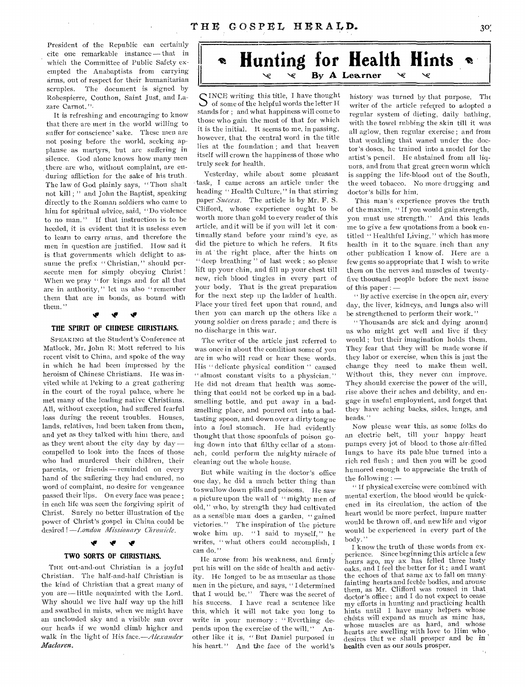President of the Republic can certainly cite one remarkable instance — that in which the Committee of Public Safety exempted the Anabaptists from carrying arms, out of respect for their humanitarian scruples. The document is signed by Robespierre, Couthon, Saint Just, and Lazare Carnot.".

It is refreshing and encouraging to know that there are men in the world willing to suffer for conscience' sake. These men are not posing before the world, seeking applause -as martyrs, but are suffering in silence. God alone knows how many men there are who, without complaint, are enduring affliction for the sake of his truth. The law of God plainly says, " Thou shalt not kill ; " and John the'Baptist, speaking directly to the Roman soldiers who came to him for spiritual advice, said, "Do violence to no man. " If that instruction is to be heeded, it is evident that it is useless even to learn to carry arms, and therefore the men in question are justified. How sad it is that governments which delight to assume the prefix " Christian," should persecute men for simply obeying Christ! When we pray " for kings and for all that are in authority, " let us also " remember them that are in bonds, as bound with them."

# **THE SPIRIT OF CHINESE CHRISTIANS.**

qg rig

SPEAKING at the Student's Conference at Matlock, Mr. John R! Mott referred to his recent visit to China, and spoke of the way in which he had been impressed by the heroism of Chinese Christians. He was invited while at Peking to a great gathering in the court of the royal palace, where he met many of the leading native Christians. All, without exception, had suffered fearful loss during the recent troubles. Houses, lands, relatives, had been taken from them, and yet as they talked with him there, and as they went about the city day by  $day$ compelled to look into the faces of those who had murdered their children, their parents, or friends — reminded on every hand of the suffering they had endured, no word of complaint, no desire for vengeance passed their lips. On every face was peace ; in each life was seen the forgiving spirit of Christ. Surely no better illustration of the power of Christ's gospel in China could be desired I *—London Missionary Chronicle.* 

#### **NIF NIF**  V. **TWO SORTS OF CHRISTIANS.**

THE out-and-out Christian is a joyful Christian. The half-and-half Christian is the kind of Christian that a great many of you are—little acquainted with the Lord. Why should we live half way up the hill and swathed in mists, when we might have an unclouded sky and a visible sun over our heads if we would climb higher and walk in the light of His *face.—Alexander Maclaren.* 

# **Hunting for Health Hints SP By A Learner**

C INCF, writing this title, I have thought of some of the helpful words the letter H stands for ; and what happiness will come to those who gain the most of that for which it is the initial. It seems to me, in passing, however, that the central word in the title lies at the foundation ; and that heaven itself will crown the happiness of those who truly seek for health.

Yesterday, while about some pleasant task, I came across an article under the heading " Health Culture, " in that stirring paper *Success.* The article is by Mr. F. S. Clifford, whose experience ought to be worth more than gold to every reader of this article, and it will be if you will let it continually stand before your mind's eye, as did the picture to which he refers. It fits in at the right place, after the hints on " deep breathing " of last week; so please lift up your chin, and fill up your chest till new, rich blood tingles in every part of your body. That is the great preparation for the next step up the ladder of health. Place your tired feet upon that round, and then you can march up the others like a young soldier on dress parade ; and there is no discharge in this war.

The writer of the article just referred to was once in about the condition some of you are in who will read or hear these words. His " delicate physical condition " caused " almost constant visits to a physician." He did not dream that health was something that could not be corked up in a badsmelling bottle, and put away in a badsmelling place, and poured out into a badtasting spoon, and down over a dirty tongue into a foul stomach. He had evidentlythought that those spoonfuls of poison going down into that filthy cellar of a stomach, could perform the mighty miracle of cleaning out the whole house.

But while waiting in the doctor's office one day, he did a much better thing than to swallow down pills and poisons. He saw a picture upon the wall of " mighty men of old, " who, by strength they had cultivated as a sensible man does a garden, "gained victories. " The inspiration of the picture woke him up. "I said to myself," he writes, " what others could accomplish, I can do."

He arose from his weakness, and firmly put his will on the side of health and activity. He longed to be as muscular as those men in the picture, and says, " I determined that I would be." There was the secret of his success. I have read a sentence like this, which it will not take you long to write in your memory : " Everthing depends upon the exercise of the will." Another like it is, "But Daniel purposed in his heart." And the face of the world's

history was turned by that purpose. The writer of the article referred to adopted a regular system of dieting, daily bathing, with the towel rubbing the skin till it was all aglow, then regular exercise ; and from that weakling that waned under the doctor's doses, he trained into a model for the artist's pencil. He abstained from all liquors, and from that great green worm which is sapping the life-blood out of the South, the weed tobacco. No more drugging and doctor's bills for him.

This man's experience proves the truth of the maxim, " If you would gain strength, you must use strength." And this leads me to give a few quotations from a book entitled " Healthful Living, " which **has** more health in it to the square inch than any other publication I know of. Here are a few gems so appropriate that I wish to write them on the nerves and muscles of twentyfive thousand people before the next issue of this paper : —

" By active exercise in the open air, every day, the liver, kidneys, and lungs also will be strengthened to perform their work. "

" Thousands are sick and dying around us who might get well and live if they would ; but their imagination holds them. They fear that they will be made worse if they labor or exercise, when this is just the change they need to make them well. Without this, they never can improve. They should exercise the power of the will, rise above their aches and debility, and engage in useful employnient, and forget that they have aching backs, sides, lungs, and heads."

Now please wear this, as some folks do an electric belt, till your happy heart pumps every jot of blood to those air-filled lungs to have its pale blue turned into a rich red flush ; and then you will be good humored enough to appreciate the truth of the following : —

" If physical exercise were combined with mental exertion, the blood Would be quickened in its circulation, the action of the heart would be more perfect, impure matter would be thrown off, and new life and vigor would be experienced in every part of the body. "

I know the truth of these words from experience. Since beginning this article a few hours ago, my ax has felled three lusty oaks, and I feel the better for it ; and I want the echoes of that same ax to fall on many, fainting hearts and feeble bodies, and arouse them, as Mr. Clifford was roused in that doctor's office ; and I do not expect to cease my efforts in hunting and practicing health hints until I have many helpers whose chests will expand as much as mine has, whose muscles are as hard, and whose hearts are swelling with love to Him who desires that we shall prosper and be in health even as our souls prosper.  $\epsilon_{\rm A}$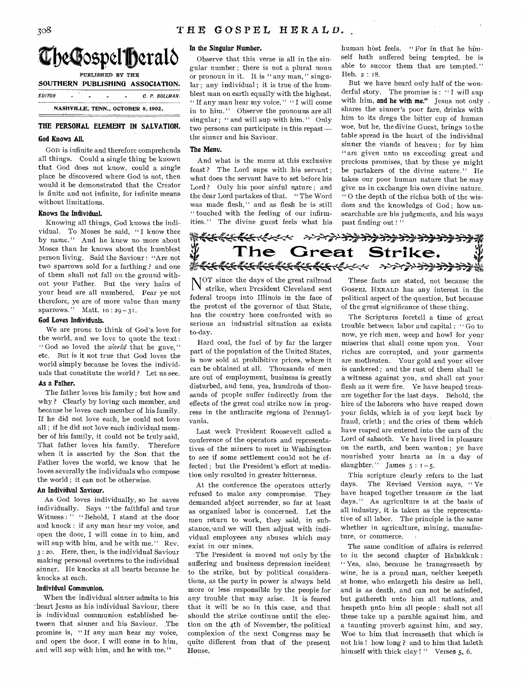

| DOCTREAM FODLISHING ASSOCIATION. |   |   |                                    |   |                |
|----------------------------------|---|---|------------------------------------|---|----------------|
| EDITOR                           | - | - | -                                  | - | C. P. BOLLMAN. |
|                                  |   |   | NASHVILLE, TENN., OCTOBER 8, 1902. |   |                |

# **THE PERSONAL ELEMENT IN SALVATION.**

### **God Knows All.**

Gon is infinite and therefore comprehends all things. Could a single thing be known that God does not know, could a single place be discovered where God is not, then would it be demonstrated that the Creator is finite and not infinite, for infinite means without limitations.

### **Knows the Individual.**

Knowing all things, God knows the individual. To Moses he said, " I know thee by name. " And he knew no more about Moses than he knows about the humblest person living. Said the Saviour : "Are not two sparrows sold for a farthing ? and one of them shall not fall on the ground without your Father. But the very hairs of your head are all numbered. Fear ye not therefore, ye are of more value than many sparrows." Matt.  $10:29-31$ .

#### **God Loves Individuals.**

We are prone to think of God's love for the world, and we love to quote the text : " God so loved the *world* that he gave," etc. But is it not true that God loves the world simply because he loves the individuals that constitute the world ? Let us see.

### **As a rather.**

The father loves his family ; but how and why ? Clearly by loving each member, and because he loves each member of his family. If he did not love each, he could not love all ; if he did not love each individual member of his family, it could not be truly said, That father loves his family. Therefore when it is asserted by the Son that the Father loves the world, we know that he loves severally the individuals who compose the world ; it can not be otherwise.

#### **An Individual Saviour.**

As God loves individually, so he saves individually. Says " the faithful and true Witness:" "Behold, I stand at the door and knock : if any man hear my voice, and open the door, I will come in to him, and will sup with him, and he with me." Rev. 3 : 2o. Here, then, is the individual Saviour making personal overtures to the individual sinner. He knocks at all hearts because he knocks at each.

#### **Individval Communion.**

When the individual sinner admits to his -heart Jesus as his individual Saviour, there is individual communion established between that sinner and his Saviour. The promise is, " If any man hear my voice, and open the door, I will come in to him, and will sup with him, and he with me."

# **In the Singular Number.**

Observe that this verse is all in the singular number ; there is not a plural noun or pronoun in it. It is " any man, " singular ; any individual ; it is true of the humblest man on earth equally with the highest. " If any man hear my voice," "I will come in to him." Observe the pronouns are all singular : " and will sup with him." Only two persons can participate in this repast the sinner and his Saviour.

### **The Menv.**

And what is the menu at this exclusive feast ? The Lord sups with his servant ; what does the servant have to set before his Lord ? Only his poor sinful nature ; and the dear Lord partakes of that. " The Word was made flesh," and as flesh he is still " touched with the feeling of our infirmities. " The divine guest feels what his

human host feels. " For in that he himself hath suffered being tempted, he is able to succor them that are tempted. " Heb. 2 : r8.

But we have heard only half of the wonderful story. The promise is : " I will sup with him, **and he with me."** Jesus not only shares the sinner's poor fare, drinks with him to its dregs the bitter cup of human woe, but he, the divine Guest, brings to the table spread in the heart of the individual sinner the viands of heaven ; for by him " are given unto us exceeding great and precious promises, that by these ye might be partakers of the divine nature. " He takes our poor human nature that he may give us in exchange his own divine nature. " 0 the depth of the riches both of the wisdom and the knowledgs of God ; how unsearchable are his judgments, and his ways past finding out !"

**The Great Strike. Or74\*4-(keik- 4('- . <44.** 霿

N OT since the days of the great railroad strike, when President Cleveland sent federal troops into Illinois in the face of the protest of the governor of that State, has the country been confronted with so serious an industrial situation as exists to-day.

Hard coal, the fuel of by far the larger part of the population of the United States, is now sold at prohibitive prices, where it can be obtained at all. Thousands of men are out of employment, business is greatly disturbed, and tens, yea, hundreds of thousands of people suffer indirectly from the effects of the great coal strike now in progress in the anthracite regions of Pennsylvania.

Last week President Roosevelt called a conference of the operators and representatives of the miners to meet in Washington to see if some settlement could not be effected ; but the President's effort at mediation only resulted in greater bitterness.

At the conference the operators utterly refused to make any compromise. They demanded abject surrender, so far at least as organized labor is concerned. Let the men return to work, they said, in substance, 'and we will then adjust with individual employees any abuses which may exist in our mines.

The President is moved not only by the suffering and business depression incident to the strike, but by political considerations, as the party in power is always held more or less responsible by the people for any trouble that may arise. It is feared that it will be so in this case, and that should the strike continue until the election on the 4th of November, the political complexion of the next Congress may be quite different from that of the present House.

These facts are stated, not because the GOSPEL HERALD has any interest in the political aspect of the question, but because of the great significance of these thing.

The Scriptures foretell a time of great trouble between labor and capital : " Go to now, ye rich men, weep and howl for your miseries that shall come upon you. Your riches are corrupted, and your garments are motheaten. Your gold and your silver is cankered ; and the rust of them shall be a witness against you, and shall eat your flesh as it were fire. Ye have heaped treasure together for the last days. Behold, the hire of the laborers who have reaped down your fields, which is of you kept back by fraud, crieth ; and the cries of them which have reaped are entered into the ears of the Lord of sabaoth. Ye have lived in pleasure on the earth, and been wanton; ye have nourished your hearts as in a day of slaughter." James  $5 : 1 - 5$ .

This scripture clearly refers to the last days. The Revised Version says, " Ye have heaped together treasure *in* the last days." As agriculture is at the basis of all industry, it is taken as the representative of all labor. The principle is the same whether in agriculture, mining, manufacture, or commerce.

The same condition of affairs is referred to in the second chapter of Habakkuk : " Yea, also, because he transgresseth by wine, he is a proud man, neither keepeth at home, who enlargeth his desire as hell, and is as death, and can not be satisfied, but gathereth unto him all nations, and heapeth unto him all people : shall not all these take up a parable against him, and a taunting proverb against him, and say, Woe to him that increaseth that which is not his ! how long ? and to him that ladeth himself with thick clay ! " Verses 5, 6.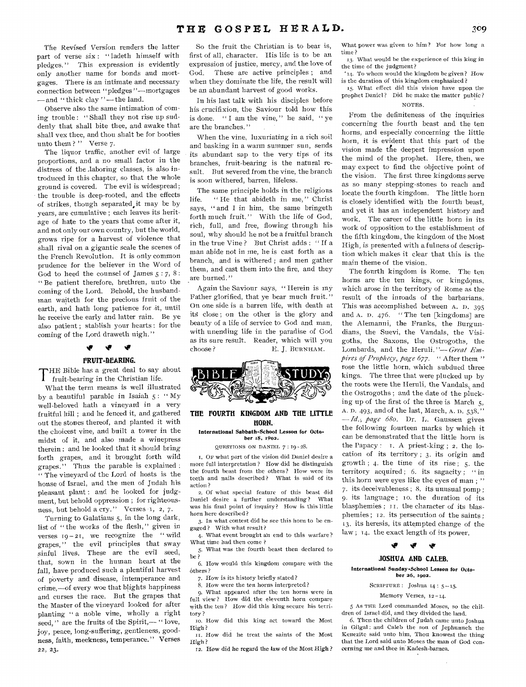The Revised Version renders the latter part of verse six : "ladeth himself with pledges." This expression is evidently only another name for bonds and mortgages. There is an intimate and necessary connection between "pledges "---mortgages -and "thick clay"-the land.

Observe also the same intimation of coming trouble : " Shall they not rise up suddenly that shall bite thee, and awake that shall vex thee, and thou shalt be for booties unto them?" Verse 7.

The liquor traffic, another evil of large proportions, and a no small factor in the distress of the laboring classes, is also introduced in this chapter, so that the whole ground is covered. The evil is widespread; the trouble is deep-rooted, and the effects of strikes, though separated,it may be by years, are cumulative ; each leaves its heritage of hate to the years that come after it, and not only our own country, but the world, grows ripe for a harvest of violence that shall rival on a gigantic scale the scenes of the French Revolution. It is only common prudence for the believer in the Word of God to heed the counsel of James *5:* 7, 8 : " Be patient therefore, brethren, unto the coming of the Lord. Behold, the husbandman waiteth for the precious fruit of the earth, and bath long patience for it, until he receive the early and latter rain. Be ye also patient ; stablish your hearts : for the coming of the Lord draweth nigh."

### $\blacktriangledown$ **FRUIT-DEARING.**

THE Bible has a great deal to say about<br>
fruit-bearing in the Christian life. fruit-bearing in the Christian life.

What the term means is well illustrated by a beautiful parable in Isaiah  $5: "My$ well-beloved hath a vineyard in a very fruitful hill ; and he fenced it, and gathered out the stones thereof, and planted it with the choicest vine, and built a tower in the midst of it, and also made a winepress therein : and he looked that it should bring forth grapes, and it brought forth wild grapes." Thus the parable is explained : " The vineyard of the Lord of hosts is the house of Israel, and the men of Judah his pleasant plant: and he looked for judgment, but behold oppression ; for righteousness, but behold a cry." Verses 1, 2, 7.

Turning to Galatians 5, in the long dark, list of " the works of the flesh," given in verses  $19 - 21$ , we recognize the "wild grapes," the evil principles that sway sinful lives. These are the evil seed, that, sown in the human heart at the fall, have produced such a plentiful harvest of poverty and disease, intemperance and crime,-of every woe that blights happiness and curses the race. But the grapes that the Master of the vineyard looked for after planting " a noble vine, wholly a right seed," are the fruits of the Spirit,-" love, joy, peace, long-suffering, gentleness, goodness, faith, meekness, temperance." Verses 22, 23,

So the fruit the Christian is to bear is, first of all, character. His life is to be an expression of justice, mercy, and the love of God. These are active principles ; and when they dominate the life, the result will be an abundant harvest of good works.

In his last talk with his disciples before his crucifixion, the Saviour told how this is done. " I am the vine," he said, "ye are the branches. "

When the vine, luxuriating in a rich soil and basking in a warm summer sun, sends its abundant sap to the very tips of its branches, fruit-bearing is the natural result. But severed from the vine, the branch is soon withered, barren, lifeless.

The same principle holds in the religious life. "He that abideth in me," Christ says, " and I in him, the same bringeth forth much fruit." With the life of God, rich, full, and free, flowing through his soul, why should he not be a fruitful branch in the true Vine ? But Christ adds : " If a man abide not in me, he is cast forth as a branch, and is withered ; and men gather them, and cast them into the fire, and they are burned."

Again the Saviour says, " Herein is my Father glorified, that ye bear much fruit." On one side is a barren life, with death at its close ; on the other is the glory and beauty of a life of service to God and man, with unending life in the paradise of God as its sure result. Reader, which will you choose?<br> $E. J. BURNHAM.$ E. J. BURNHAM.



### **THE FOURTH KINGDOM AND THE LITTLE HORN.**

#### International Sabbath-School Lesson for October IS, 1902.

QUESTIONS ON DANIEL 7 : 19 - 28.

1. OF what part of the vision did Daniel desire a more full interpretation ? How did he distinguish the fourth beast from the others? How were its teeth and nails described? What is said of its action ?

2. Of what special feature of this beast did Daniel desire a further understanding? What was his final point of inquiry? How is this little horn here described?

3. In what contest did he see this horn to be engaged? With what result?

4. What event brought an end to this warfare? What time had then come ?

5. What was the fourth beast then declared to be ?

6. How would this kingdom compare with the óthers?

7. How is its history briefly stated?

8. How were the ten horns interpreted?

9. What appeared after the ten horns were in full view? How did the eleventh horn compare with the ten? How did this king secure his territory ?

to. How did this king act toward the Most High ?

II. How did he treat the saints of the Most High?

12. How did he regard the law of the Most High ?

What power was given to him ? For how long a time ?

13. What would be the experience of this king in the time of the judgment?

'14. To whom would the kingdom be given? How is the duration of this kingdom emphasized?

15. What effect did this vision have upon the prophet Daniel? Did he make the matter public? NOTES.

From the definiteness of the inquiries concerning the fourth beast and the ten horns, and especially concerning the little horn, it is evident that this part of the vision made die deepest impression upon the mind of the prophet. Here, then, we may expect to find the objective point of the vision. The first three kingdoms serve as so many stepping-stones to reach and locate the fourth kingdom. The little horn is closely identified with the fourth beast, and yet it has an independent history and work. The career of the little horn in its work of opposition to the establishment of the fifth kingdom, the kingdom of the Most High, is presented with a fulness of description which makes it clear that this is the main theme of the vision.

The fourth kingdom is Rome. The ten horns are the ten kings, or kingdoms, which arose in the territory of Rome as the result of the inroads of the barbarians. This was accomplished between A. D. 395 and A. D. 476. " The ten [kingdoms] are the Alemanni, the Franks, the Burgundians, the Suevi, the Vandals, the Visigoths, the Saxons, the Ostrogoths, the Lombards, and the Heruli."-*Great Empires of Prophecy, page 677. "* After them " rose the little horn, which subdued three kings. The three that were plucked up by the roots were the Heruli, the Vandals, and the Ostrogoths ; and the date of the plucking up of the first of the three is March 5, A. D. 493, and of the last, March, A. D. 538.'' *-Id.; page 680.* Dr. L. Gaussen gives the following fourteen marks by which it can be demonstrated that the little horn is the Papacy : T. A priest-king ; 2. the location of its territory ; 3. its origin and growth;  $4$ . the time of its rise;  $5$ . the territory acquired; 6. its sagacity; "in this horn were eyes like the eyes of man;" 7. its deceivableness ; 8. its unusual pomp ; 9. its language; 10. the duration of its blasphemies ; II. the character of its blasphemies ; 12. its persecution of the saints ; 13. its heresis, its attempted change of the law ; 14. the exact length of its power.

# 19 **10**

# **JOSHUA AND CALEB.**

#### International Sunday-School Lesson for October 26, 1902.

# SCRIPTURE : Joshua 14 : 5 -- 15.

#### Memory Verses, 12-14.

5 As THE Lord commanded Moses, so the children of Israel did, and they divided the land.

6. Then the children of Judah came unto Joshua in Gilgal : and Caleb the son of Jephunneh the Kenezite said unto him, Thou knowest the thing that the Lord said unto Moses the man of God concerning me and thee in Kadesh-barnea.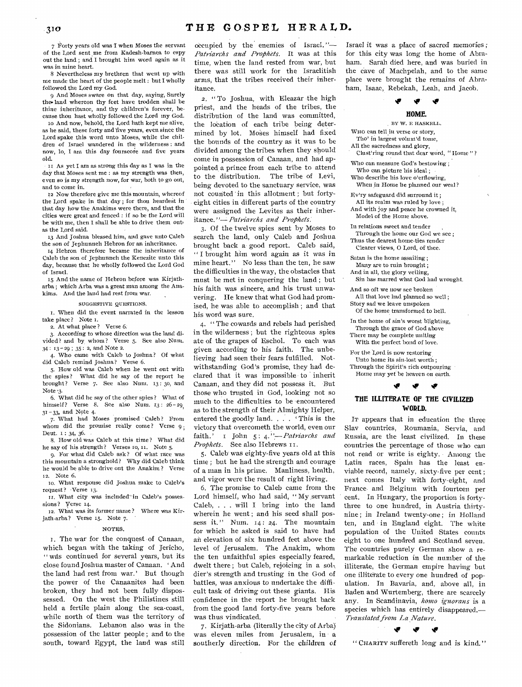7 Forty years old was I when Moses the servant of the Lord sent me from Kadesh-barnea to espy out the land ; and I brought him word again as it was in mine heart.

8 Nevertheless my brethren that went up with me made the heart of the people melt ; but I wholly followed the Lord my God.

9 And Moses sware on that day, saying, Surely the• land whereon thy feet have trodden shall be thine inheritance, and thy children's forever, because thou hast wholly followed the Lord my God.

to And now, behold, the Lord hath kept me alive, as he said, these forty and 'five years, even since the Lord spake this word unto Moses, while the children of Israel wandered in the wilderness : and now, lo, I am this day fourscore and five years old.

As yet I am as strong this day as I was in the day that Moses sent me : as my strength was then, even so is my strength now, for war, both to go out, and to come in.

12 Now therefore give me this mountain, whereof the Lord spake in that day; for thou heardest in that day how the Anakims were there, and that the cities were great and fenced : if so be the Lord will be with me, then I shall be able to drive them out, as the Lord said.

13 And Joshua blessed him, and gave unto Caleb the son of Jephunneh Hebron for an inheritance.

14 Hebron therefore became the inheritance of Caleb the son of Jephunneh the Kenezite unto this day, because that he wholly followed the Lord God of Israel.

15 And the name of Hebron before was Kirjatharba ; which Arba was a great man among the Anakims. And the land had rest from war.

#### SUGGESTIVE QUESTIONS,

1. When did the event narrated in the lesson take place? Note I.

2. At what place ? Verse 6.

3. According to whose direction was the land divided? and by whom? Verse 5. See also Num. 34 : 13 -29 ; 35 : 2, and Note 2.

4. Who came with Caleb to Joshua? Of what did Caleb remind Joshua? Verse 6.

5. How old was Caleb when he went out with the spies? What did he say of the report he brought? Verse 7. See also Num. 13: 3o, and Note 3.

6. What did he say of the other spies? What of himself? Verse 8. See also Num. 13: 26-29. 31- 33, and Note 4.

7. What had Moses promised Caleb? From whom did the promise really come? Verse 9. Deut. 1: 34, 36.

8. How old was Caleb at this time? What did he say of his strength? Verses to, it. Note 5.

9, For what did Caleb ask? Of what race was this mountain a stronghold? Why did Caleb think he would be able to drive out the Anakim ? Verse 12. Note 6.

10. What response did Joshua make to Caleb's request? Verse 13.

II. What city was included" in Caleb's possessions? Verse 14.

12. What was its former name? Where was Kirjath-arba? Verse 15. Note 7.

#### NOTES.

I. The war for the conquest of Canaan, which began with the taking of Jericho, " was continued for several years, but its close found Joshua master of Canaan. 'And the land had rest from war.' But though the power of the Canaanites had been broken, they had not been fully dispossessed. On the west the Philistines still held a fertile plain along the sea-coast, while north of them was the territory of the Sidonians. Lebanon also was in the possession of the latter people ; and to the south, toward Egypt, the land was still

occupied by the enemies of Israel. *"- Patriarchs and Prophets.* It was at this time, when the land rested from war, but there was still work for the Israelitish arms, that the tribes received their inheritance.

2. " To Joshua, with Eleazar the high priest, and the heads of the tribes, the distribution of the land was committed, the location of each tribe being determined by lot. Moses himself had fixed the bounds of the country as it was to be divided among the tribes when they should come in possession of Canaan, and had appointed, a prince from each tribe to attend to the distribution. The tribe of Levi, being devoted to the sanctuary service, was not counted in this allotment; but fortyeight cities in different parts of the country were assigned the Levites as their inheritance."- *Patriarchs and Prophets*.

3. Of the twelve spies sent by Moses to search the land, only Caleb and Joshua brought back a good report. Caleb said, " I brought him word again as it *was* in mine heart." No less than the ten, he saw the difficulties in the way, the obstacles that must be met in conquering the land ; but his faith was sincere, and his trust unwavering. He knew that what God had promised, he was able to accomplish ; and that his word was sure,

4, " The cowards and rebels had perished in the wilderness ; but the righteous spies ate of the grapes of Eschol. To each was given according to his faith. The unbelieving had seen their fears fulfilled. Notwithstanding God's promise, they had declared that it was impossible to inherit Canaan, and they did not possess it. But those who trusted in God, looking not so much to the difficulties to be encountered as to the strength of their Almighty Helper, entered the goodly land. . . . This is the victory that overcometh the world, even our faith.' I John 5: 4. <sup>1</sup>'-Patriarchs and *Prophets.* See also Hebrews II.

5. Caleb was eighty-five years old at this time ; but he had the strength and courage of a man in his prime. Manliness, health, and vigor were the result of right living.

6. The promise to Caleb came from the Lord himself, who had said, " My servant Caleb, . . . will I bring into the land wherein he went ; and his seed shall possess *it." Num. 14:* 24. The mountain for which he asked is said to have had an elevation of six hundred feet above the level of Jerusalem. The Anakim, whom the ten unfaithful spies especially feared, dwelt there ; but Caleb, rejoicing in a sol,, dier's strength and trusting in the God of battles, was anxious to undertake the difficult task of driving out these giants. His confidence in the report he brought back from the good land forty-five years before was thus vindicated.

7. Kirjath-arba (literally the city of Arba) was eleven miles from Jerusalem, in a southerly direction. For the children of Israel it was a place of sacred memories ; for this city was long the home of Abraham. Sarah died here, and was buried in the cave of Machpelah, and to the same place were brought the remains of Abraham, Isaac, Rebekah, Leah, and Jacob.



BY W. E HASKELL. WHO can tell in verse or story. Tho' in largest volum'd tome, All the sacredness and glory,

Clust'ring round that dear word, " Home " ?

Who can measure God's bestowing ; Who can picture his ideal ; Who describe his love o'erflowing,

When in Home he planned our weal?

liv'ry safeguard did surround it ; All its realm was ruled by love ; And with joy and peace he crowned it, Model of the Home above.

In relations sweet and tender Through the home our God we see ; Thus the dearest home-ties render Clearer views, 0 Lord, of thee.

Satan is the home assailing ; Many are to ruin brought ;

And in all, the glory veiling,

Sin has marred what God had wrought.

And so oft we now see broken All that love had planned so well ; Story sad we leave unspoken

Of the home transformed to hell.

In the home of sin's worst blighting, Through the grace of God above

There may be complete uniting With the perfect bond of love.

For the Lord is now restoring, Unto home its sin-lost worth ;

Through the Spirit's rich outpouring Home may yet be heaven on earth.

### **Nir**

ی

# **THE ILLITERATE OF THE CIVILIZED WORLD.**

IT appears that in education the three Slav countries, Roumania, Servia, and Russia, are the least civilized. In these countries the percentage of those who can not read or write is eighty. Among the Latin races, Spain has the least enviable record, namely, sixty-five per cent ; next comes Italy with forty-eight, and France- and Belgium with fourteen per cent. In Hungary, the proportion is fortythree to one hundred, in Austria thirtynine ; in Ireland twenty-one ; in Holland ten, and in England eight. The white population of the United States counts eight to one hundred and Scotland seven. The countries purely German show a remarkable reduction in the number of the illiterate, the German empire having but one illiterate to every one hundred of population. In Bavaria, and, above all, in Baden and Wurtemberg, there are scarcely any. In Scandinavia, homo ignorans is a species which has entirely disappeared.- $Translation$  *Translated from La Nature.* 

*'IF NIP ir* 

" CHARITY suffereth long and is kind."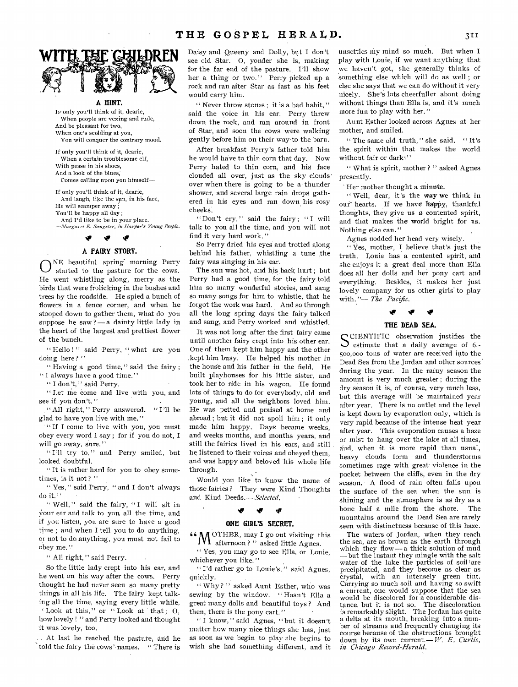

**A HINT.** 

IF only you'll think of it, dearie, When people are vexing and rude, And be pleasant for two, When one's scolding at you, You will conquer the contrary mood.

If only you'll think of it, dearie, When a certain troublesome elf, With pease in his shoes, And a look of the blues; Comes calling upon you himself—

If only you'll think of it, dearie, And laugh, like the sym, in his face, He will scamper away You'll be happy all day ; And I'd like to be in your place. *—Margaret E. Sangster, in Harfier's Young People.* 

*tir NIF* 

### **A FAIRY STORY.**

O NE beautiful spring' morning Perry started to the pasture for the cows. He went whistling along, merry as the birds that were frolicking in the bushes and trees by the roadside. He spied a bunch of flowers in a fence corner, and when he stooped down to gather them, what do you suppose he saw ? — a dainty little lady in the heart of the largest and prettiest flower of the bunch.

" Hello !" said Perry, " what are you doing here?"

" Having a good time, " said the fairy ; " I always have a good time."

" I don't," said Perry.

" Let me come and live with you, and see if you don't."

" All right, " Perry answered. " I'll be glad to have you live with me."

"If I come to live with you, you must obey every word I say ; for if you do not, I will go away, sure.'

" I'll try to, " and Perry smiled, but looked doubtful.

" It is rather hard for you to obey sometimes, is it not?"

" Yes," said Perry, " and I don't always do it."

" Well," said the fairy, "I will sit in Your ear and talk to you all the time, and if you listen, you are sure to have a good time ; and when I tell you to do anything, or not to do anything, you must not fail to obey me."

" All right," said Perry.

So the little lady crept into his ear, and he went on his way after the cows. Perry thought he had never seen so many pretty things in all his life. The fairy kept talking all the time, saying every little while, 'Look at this," or "Look at that;  $O$ , how lovely ! " and Perry looked and thought it was lovely, too.

At last he reached the pasture, and he told the fairy the cows' names. " There is Daisy and Queeny and Dolly, but I don't see old Star. 0, yonder she is, making for the far end of the pasture. I'll show her a thing or two." Perry picked up a rock and ran after Star as fast as his feet would carry him.

" Never throw stones ; it is a bad habit, " said the voice in his ear. Perry threw down the rock, and ran around in front of Star, and soon the cows were walking gently before him on their way•to the barn.

After breakfast Perry's father told him he would have to thin corn that day. Now Perry hated to thin corn, and his face clouded all over, just as the sky clouds' over when there is going to be a thunder shower, and several large rain drops gathered in his eyes and ran down his rosy cheeks.

"Don't cry," said the fairy; "I will talk to you all the time, and you will not find it very hard work,"

So Perry dried his eyes and trotted along behind his father, whistling a tune the fairy was singing in his ear.

The sun was hot, and his back hurt ; but Perry had a good time, for the fairy told him so many wonderful stories, and sang so many songs for him to whistle, that he forgot the work was hard. And so through all the long spring days the fairy talked and sang, and Perry worked and whistled.

It was not long after the first fairy came until another fairy crept into his other ear. One of them kept him happy and the other ,kept him busy. He helped his mother in the house and his father in the field. He built playhouses for his little sister, and took her to ride in his wagon. He found lots of things to do for everybody, old and young, and all the neighbors loved him. He was petted and praised at home and abroad ; but it did not spoil him ; it only made him happy. Days became weeks, and weeks months, and months years, and still the fairies lived in his ears, and still he listened to their voices and obeyed them, and was happy and beloved his whole life through. •

Would you like to know the name of those fairies ? They were Kind Thoughts and Kind Deeds.— *Selected,* 

#### **NIP .4v**

### **ONE GIRL'S SECRET.**

 $^6M$  OTHER, may I go out visiting this afternoon?" asked little Agnes.

" Yes, you may go to see Ella, or Louie, whichever you like."

"I'd rather go to Louie's," said Agnes, quickly.

" Why ? " asked Aunt Esther, who was sewing by the window. " Hasn't Ella a great many dolls and beautiful toys ? And then, there is the pony cart."

" I know, " said Agnes, " but it doesn't matter how many nice things she has, just as soon as we begin to play she begins to wish she had something different, and it unsettles my mind **so** much. But when I play with Louie, if we want anything that we haven't got, she generally thinks of something else which will do as well ; or else she says that we can do without it very nicely. She's lots cheerfuller about doing without things than Ella is, and it's much more fun to play with her."

Aunt Esther looked across Agnes at her mother, and smiled.

" The same old truth, " she said. " It's the, spirit within that makes the world without fair or dark."

" What is spirit, mother ? " asked Agnes presently.

Her mother thought a minute.

" Well, dear, it's the way we think in our hearts. If we have happy, thankful thoughts, they give us a contented spirit, and that makes the world bright for us. Nothing else can."

Agnes nodded her head very wisely.

" Yes, mother, I believe that's just the truth. Louie has a contented spirit, and she enjoys it a great deal more than Ella does all her dolls and her pony cart and everything. Besides, it makes her just lovely company for us other girls' to play with. "— *The Pacific.* 

### **%IF**

### **THE DEAD SEA.**

SCIENTIFIC observation justifies the<br>Sestimate that a daily average of 6,-CIENTIFIC observation justifies the 500,000 tons of water are received into the Dead Sea from the Jordan and other sources' during the year. In the rainy season the amount is very much greater ; during the dry season it is, of course, very much less, but this average will be maintained year after year. There is no outlet and the level is kept down by evaporation only, which is very rapid because of the intense heat year after year. This evaporation causes a haze or mist to hang over the lake at all times, and, when it is more rapid than usual, heavy clouds form and thunderstorms sometimes rage with great violence in the pocket between the cliffs, even in the dry season. - A flood of rain often falls upon the surface of the sea when the sun is Shining and the atmosphere is as dry as a bone half a mile from the shore. The mountains around the Dead Sea are rarely seen with distinctness because of this haze.

The waters of Jordan, when they reach the sea, are as brown as the earth through which they flow — a thick solution of mud but the instant they mingle with the salt water of the lake the particles of soil are precipitated, and they become as clear as crystal, with an intensely green tint. Carrying so much soil and having so swift a current, one would suppose that the sea would be discolored for a considerable distance, but it is not so. The discoloration is remarkably slight. The Jordan has quite a delta at its mouth, breaking into a number of streams and frequently changing its course because of the Obstructions brought down by its own current.— *W. E. Curtis, in Chicago Record-Herald.*